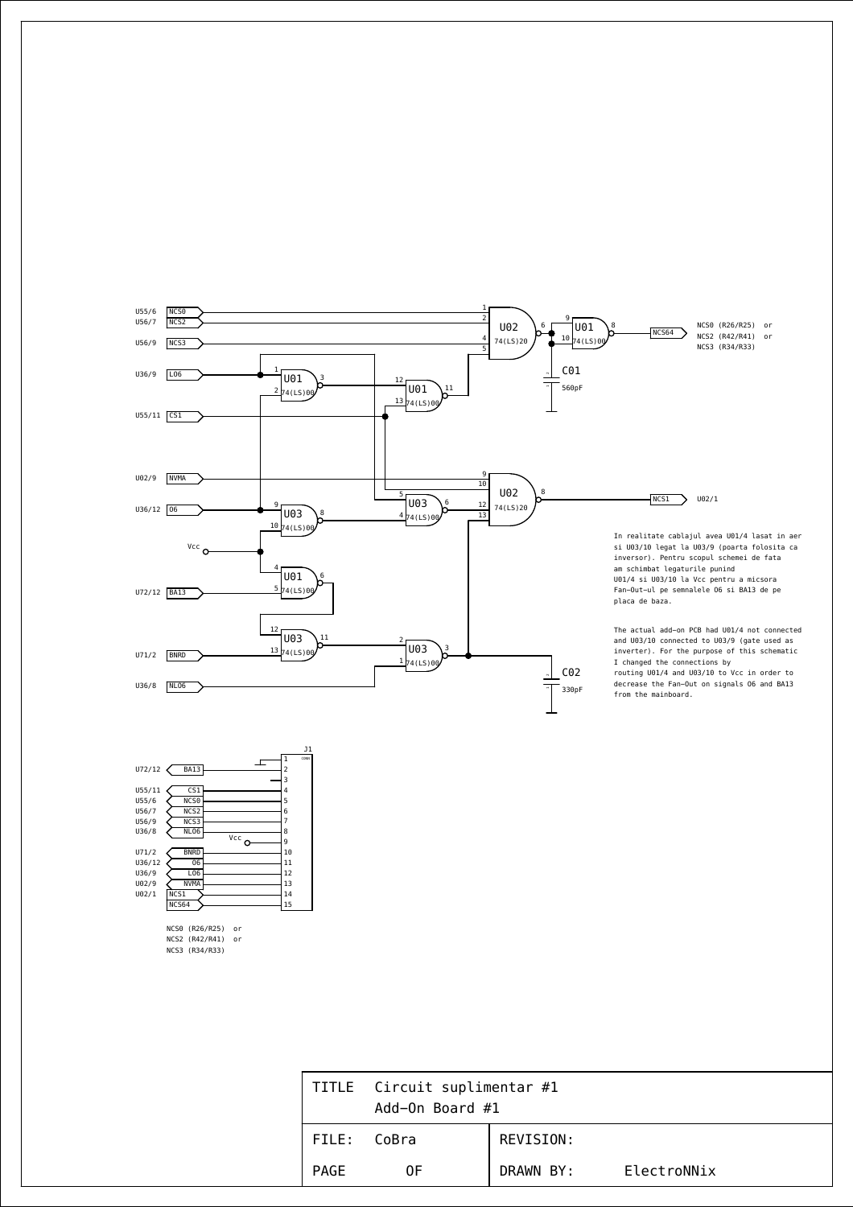

U36/9 U02/9 U02/1

> NCS0 (R26/R25) or NCS2 (R42/R41) or NCS3 (R34/R33)

NVMA

LO6  $\overline{\text{NCS}}$ 1 NCS64

|             | TITLE Circuit suplimentar #1<br>Add-On Board #1 |           |             |  |
|-------------|-------------------------------------------------|-----------|-------------|--|
| FILE: CoBra |                                                 | REVISION: |             |  |
| PAGE        | 0F                                              | DRAWN BY: | ElectroNNix |  |